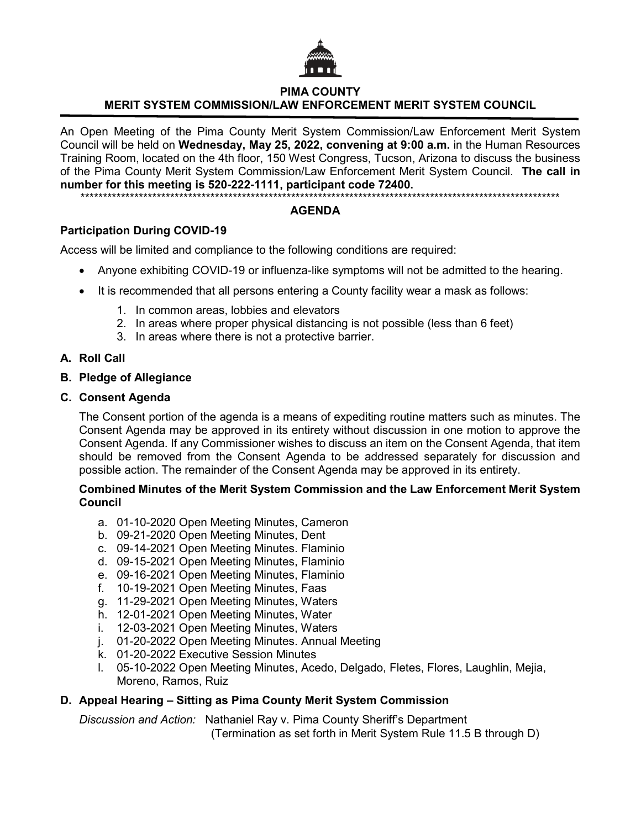

## **PIMA COUNTY**

### **MERIT SYSTEM COMMISSION/LAW ENFORCEMENT MERIT SYSTEM COUNCIL**

An Open Meeting of the Pima County Merit System Commission/Law Enforcement Merit System Council will be held on **Wednesday, May 25, 2022, convening at 9:00 a.m.** in the Human Resources Training Room, located on the 4th floor, 150 West Congress, Tucson, Arizona to discuss the business of the Pima County Merit System Commission/Law Enforcement Merit System Council. **The call in number for this meeting is 520-222-1111, participant code 72400.**

\*\*\*\*\*\*\*\*\*\*\*\*\*\*\*\*\*\*\*\*\*\*\*\*\*\*\*\*\*\*\*\*\*\*\*\*\*\*\*\*\*\*\*\*\*\*\*\*\*\*\*\*\*\*\*\*\*\*\*\*\*\*\*\*\*\*\*\*\*\*\*\*\*\*\*\*\*\*\*\*\*\*\*\*\*\*\*\*\*\*\*\*\*\*\*\*\*\*\*\*\*\*\*\*\*\*\*

#### **AGENDA**

### **Participation During COVID-19**

Access will be limited and compliance to the following conditions are required:

- Anyone exhibiting COVID-19 or influenza-like symptoms will not be admitted to the hearing.
- It is recommended that all persons entering a County facility wear a mask as follows:
	- 1. In common areas, lobbies and elevators
	- 2. In areas where proper physical distancing is not possible (less than 6 feet)
	- 3. In areas where there is not a protective barrier.

#### **A. Roll Call**

#### **B. Pledge of Allegiance**

#### **C. Consent Agenda**

The Consent portion of the agenda is a means of expediting routine matters such as minutes. The Consent Agenda may be approved in its entirety without discussion in one motion to approve the Consent Agenda. If any Commissioner wishes to discuss an item on the Consent Agenda, that item should be removed from the Consent Agenda to be addressed separately for discussion and possible action. The remainder of the Consent Agenda may be approved in its entirety.

#### **Combined Minutes of the Merit System Commission and the Law Enforcement Merit System Council**

- a. 01-10-2020 Open Meeting Minutes, Cameron
- b. 09-21-2020 Open Meeting Minutes, Dent
- c. 09-14-2021 Open Meeting Minutes. Flaminio
- d. 09-15-2021 Open Meeting Minutes, Flaminio
- e. 09-16-2021 Open Meeting Minutes, Flaminio
- f. 10-19-2021 Open Meeting Minutes, Faas
- g. 11-29-2021 Open Meeting Minutes, Waters
- h. 12-01-2021 Open Meeting Minutes, Water
- i. 12-03-2021 Open Meeting Minutes, Waters
- j. 01-20-2022 Open Meeting Minutes. Annual Meeting
- k. 01-20-2022 Executive Session Minutes
- l. 05-10-2022 Open Meeting Minutes, Acedo, Delgado, Fletes, Flores, Laughlin, Mejia, Moreno, Ramos, Ruiz

#### **D. Appeal Hearing – Sitting as Pima County Merit System Commission**

*Discussion and Action:* Nathaniel Ray v. Pima County Sheriff's Department (Termination as set forth in Merit System Rule 11.5 B through D)